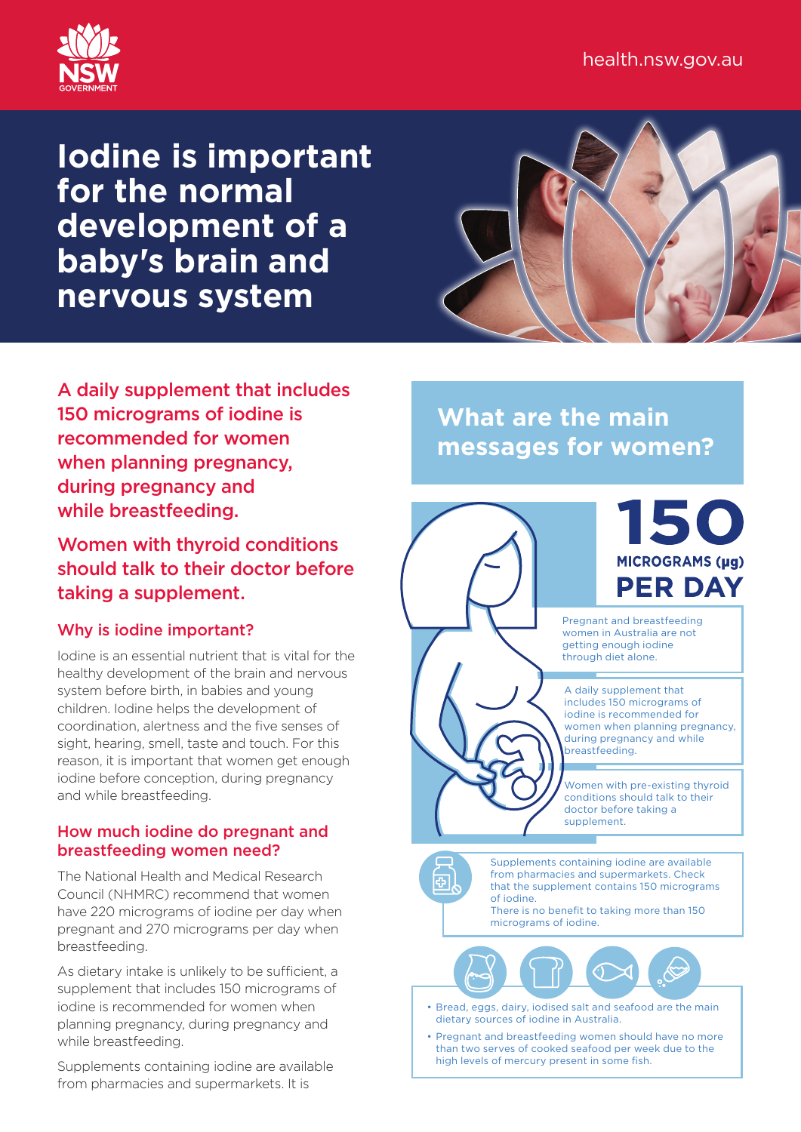

# **Iodine is important for the normal development of a baby's brain and nervous system**



A daily supplement that includes 150 micrograms of iodine is recommended for women when planning pregnancy, during pregnancy and while breastfeeding.

Women with thyroid conditions should talk to their doctor before taking a supplement.

## Why is iodine important?

Iodine is an essential nutrient that is vital for the healthy development of the brain and nervous system before birth, in babies and young children. Iodine helps the development of coordination, alertness and the five senses of sight, hearing, smell, taste and touch. For this reason, it is important that women get enough iodine before conception, during pregnancy and while breastfeeding.

## How much iodine do pregnant and breastfeeding women need?

The National Health and Medical Research Council (NHMRC) recommend that women have 220 micrograms of iodine per day when pregnant and 270 micrograms per day when breastfeeding.

As dietary intake is unlikely to be sufficient, a supplement that includes 150 micrograms of iodine is recommended for women when planning pregnancy, during pregnancy and while breastfeeding.

Supplements containing iodine are available from pharmacies and supermarkets. It is

**What are the main messages for women?**





Pregnant and breastfeeding women in Australia are not getting enough iodine through diet alone.

A daily supplement that includes 150 micrograms of iodine is recommended for women when planning pregnancy, during pregnancy and while breastfeeding.

Women with pre-existing thyroid conditions should talk to their doctor before taking a supplement.



Supplements containing iodine are available from pharmacies and supermarkets. Check that the supplement contains 150 micrograms of iodine.

There is no benefit to taking more than 150 micrograms of iodine.



- Bread, eggs, dairy, iodised salt and seafood are the main dietary sources of iodine in Australia.
- Pregnant and breastfeeding women should have no more than two serves of cooked seafood per week due to the high levels of mercury present in some fish.